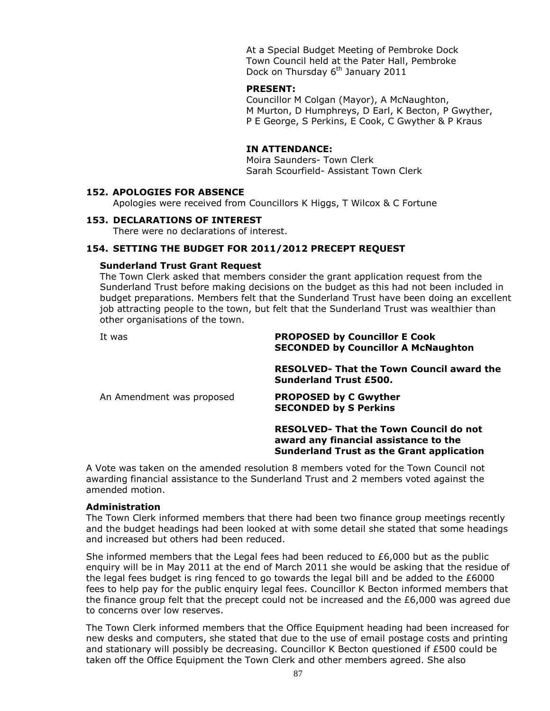At a Special Budget Meeting of Pembroke Dock Town Council held at the Pater Hall, Pembroke Dock on Thursday 6<sup>th</sup> January 2011

#### **PRESENT:**

Councillor M Colgan (Mayor), A McNaughton, M Murton, D Humphreys, D Earl, K Becton, P Gwyther, P E George, S Perkins, E Cook, C Gwyther & P Kraus

#### **IN ATTENDANCE:**

Moira Saunders- Town Clerk Sarah Scourfield- Assistant Town Clerk

## **152. APOLOGIES FOR ABSENCE**

Apologies were received from Councillors K Higgs, T Wilcox & C Fortune

#### **153. DECLARATIONS OF INTEREST**

There were no declarations of interest.

#### **154. SETTING THE BUDGET FOR 2011/2012 PRECEPT REQUEST**

#### **Sunderland Trust Grant Request**

The Town Clerk asked that members consider the grant application request from the Sunderland Trust before making decisions on the budget as this had not been included in budget preparations. Members felt that the Sunderland Trust have been doing an excellent job attracting people to the town, but felt that the Sunderland Trust was wealthier than other organisations of the town.

#### It was **PROPOSED by Councillor E Cook SECONDED by Councillor A McNaughton**

**RESOLVED- That the Town Council award the Sunderland Trust £500.**

An Amendment was proposed **PROPOSED by C Gwyther SECONDED by S Perkins**

## **RESOLVED- That the Town Council do not award any financial assistance to the Sunderland Trust as the Grant application**

A Vote was taken on the amended resolution 8 members voted for the Town Council not awarding financial assistance to the Sunderland Trust and 2 members voted against the amended motion.

#### **Administration**

The Town Clerk informed members that there had been two finance group meetings recently and the budget headings had been looked at with some detail she stated that some headings and increased but others had been reduced.

She informed members that the Legal fees had been reduced to  $£6,000$  but as the public enquiry will be in May 2011 at the end of March 2011 she would be asking that the residue of the legal fees budget is ring fenced to go towards the legal bill and be added to the £6000 fees to help pay for the public enquiry legal fees. Councillor K Becton informed members that the finance group felt that the precept could not be increased and the £6,000 was agreed due to concerns over low reserves.

The Town Clerk informed members that the Office Equipment heading had been increased for new desks and computers, she stated that due to the use of email postage costs and printing and stationary will possibly be decreasing. Councillor K Becton questioned if £500 could be taken off the Office Equipment the Town Clerk and other members agreed. She also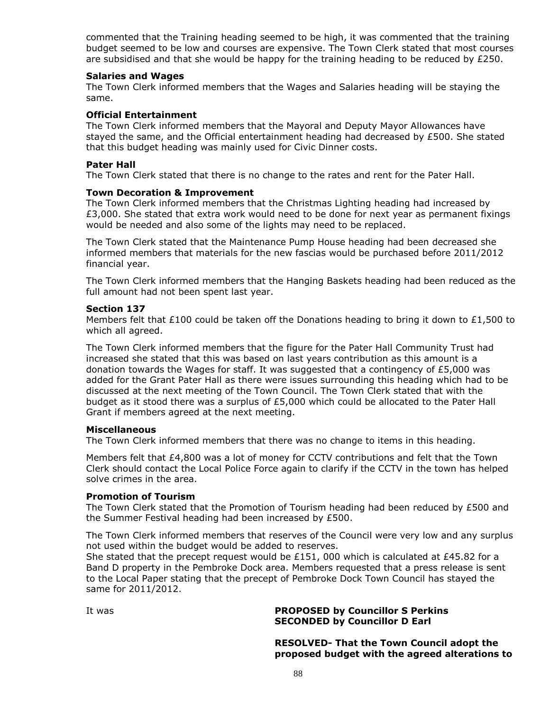commented that the Training heading seemed to be high, it was commented that the training budget seemed to be low and courses are expensive. The Town Clerk stated that most courses are subsidised and that she would be happy for the training heading to be reduced by £250.

#### **Salaries and Wages**

The Town Clerk informed members that the Wages and Salaries heading will be staying the same.

## **Official Entertainment**

The Town Clerk informed members that the Mayoral and Deputy Mayor Allowances have stayed the same, and the Official entertainment heading had decreased by  $E$ 500. She stated that this budget heading was mainly used for Civic Dinner costs.

#### **Pater Hall**

The Town Clerk stated that there is no change to the rates and rent for the Pater Hall.

#### **Town Decoration & Improvement**

The Town Clerk informed members that the Christmas Lighting heading had increased by £3,000. She stated that extra work would need to be done for next year as permanent fixings would be needed and also some of the lights may need to be replaced.

The Town Clerk stated that the Maintenance Pump House heading had been decreased she informed members that materials for the new fascias would be purchased before 2011/2012 financial year.

The Town Clerk informed members that the Hanging Baskets heading had been reduced as the full amount had not been spent last year.

#### **Section 137**

Members felt that £100 could be taken off the Donations heading to bring it down to £1,500 to which all agreed.

The Town Clerk informed members that the figure for the Pater Hall Community Trust had increased she stated that this was based on last years contribution as this amount is a donation towards the Wages for staff. It was suggested that a contingency of  $E$ 5,000 was added for the Grant Pater Hall as there were issues surrounding this heading which had to be discussed at the next meeting of the Town Council. The Town Clerk stated that with the budget as it stood there was a surplus of £5,000 which could be allocated to the Pater Hall Grant if members agreed at the next meeting.

#### **Miscellaneous**

The Town Clerk informed members that there was no change to items in this heading.

Members felt that £4,800 was a lot of money for CCTV contributions and felt that the Town Clerk should contact the Local Police Force again to clarify if the CCTV in the town has helped solve crimes in the area.

## **Promotion of Tourism**

The Town Clerk stated that the Promotion of Tourism heading had been reduced by £500 and the Summer Festival heading had been increased by £500.

The Town Clerk informed members that reserves of the Council were very low and any surplus not used within the budget would be added to reserves.

She stated that the precept request would be £151, 000 which is calculated at £45.82 for a Band D property in the Pembroke Dock area. Members requested that a press release is sent to the Local Paper stating that the precept of Pembroke Dock Town Council has stayed the same for 2011/2012.

# It was **PROPOSED by Councillor S Perkins SECONDED by Councillor D Earl**

**RESOLVED- That the Town Council adopt the proposed budget with the agreed alterations to**